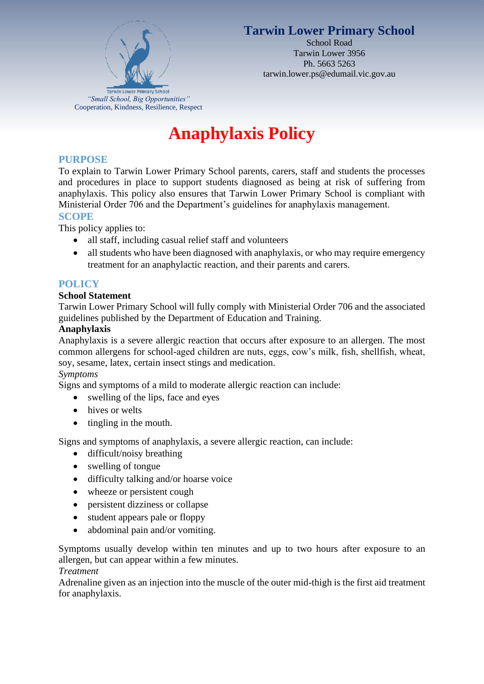

# **Tarwin Lower Primary School**

School Road Tarwin Lower 3956 Ph. 5663 5263 tarwin.lower.ps@edumail.vic.gov.au

# **Anaphylaxis Policy**

# **PURPOSE**

To explain to Tarwin Lower Primary School parents, carers, staff and students the processes and procedures in place to support students diagnosed as being at risk of suffering from anaphylaxis. This policy also ensures that Tarwin Lower Primary School is compliant with Ministerial Order 706 and the Department's guidelines for anaphylaxis management. **SCOPE**

This policy applies to:

- all staff, including casual relief staff and volunteers
- all students who have been diagnosed with anaphylaxis, or who may require emergency treatment for an anaphylactic reaction, and their parents and carers.

# **POLICY**

#### **School Statement**

Tarwin Lower Primary School will fully comply with Ministerial Order 706 and the associated guidelines published by the Department of Education and Training.

#### **Anaphylaxis**

Anaphylaxis is a severe allergic reaction that occurs after exposure to an allergen. The most common allergens for school-aged children are nuts, eggs, cow's milk, fish, shellfish, wheat, soy, sesame, latex, certain insect stings and medication.

#### *Symptoms*

Signs and symptoms of a mild to moderate allergic reaction can include:

- swelling of the lips, face and eyes
- hives or welts
- tingling in the mouth.

Signs and symptoms of anaphylaxis, a severe allergic reaction, can include:

- difficult/noisy breathing
- swelling of tongue
- difficulty talking and/or hoarse voice
- wheeze or persistent cough
- persistent dizziness or collapse
- student appears pale or floppy
- abdominal pain and/or vomiting.

Symptoms usually develop within ten minutes and up to two hours after exposure to an allergen, but can appear within a few minutes.

#### *Treatment*

Adrenaline given as an injection into the muscle of the outer mid-thigh is the first aid treatment for anaphylaxis.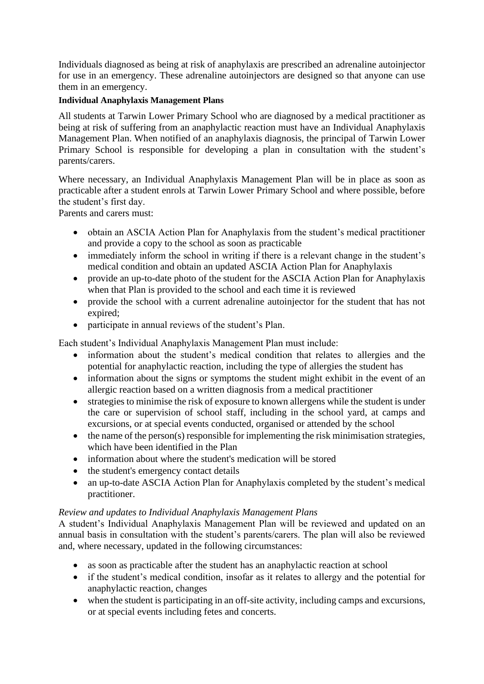Individuals diagnosed as being at risk of anaphylaxis are prescribed an adrenaline autoinjector for use in an emergency. These adrenaline autoinjectors are designed so that anyone can use them in an emergency.

#### **Individual Anaphylaxis Management Plans**

All students at Tarwin Lower Primary School who are diagnosed by a medical practitioner as being at risk of suffering from an anaphylactic reaction must have an Individual Anaphylaxis Management Plan. When notified of an anaphylaxis diagnosis, the principal of Tarwin Lower Primary School is responsible for developing a plan in consultation with the student's parents/carers.

Where necessary, an Individual Anaphylaxis Management Plan will be in place as soon as practicable after a student enrols at Tarwin Lower Primary School and where possible, before the student's first day.

Parents and carers must:

- obtain an ASCIA Action Plan for Anaphylaxis from the student's medical practitioner and provide a copy to the school as soon as practicable
- immediately inform the school in writing if there is a relevant change in the student's medical condition and obtain an updated ASCIA Action Plan for Anaphylaxis
- provide an up-to-date photo of the student for the ASCIA Action Plan for Anaphylaxis when that Plan is provided to the school and each time it is reviewed
- provide the school with a current adrenaline autoiniector for the student that has not expired;
- participate in annual reviews of the student's Plan.

Each student's Individual Anaphylaxis Management Plan must include:

- information about the student's medical condition that relates to allergies and the potential for anaphylactic reaction, including the type of allergies the student has
- information about the signs or symptoms the student might exhibit in the event of an allergic reaction based on a written diagnosis from a medical practitioner
- strategies to minimise the risk of exposure to known allergens while the student is under the care or supervision of school staff, including in the school yard, at camps and excursions, or at special events conducted, organised or attended by the school
- the name of the person(s) responsible for implementing the risk minimisation strategies, which have been identified in the Plan
- information about where the student's medication will be stored
- the student's emergency contact details
- an up-to-date ASCIA Action Plan for Anaphylaxis completed by the student's medical practitioner.

#### *Review and updates to Individual Anaphylaxis Management Plans*

A student's Individual Anaphylaxis Management Plan will be reviewed and updated on an annual basis in consultation with the student's parents/carers. The plan will also be reviewed and, where necessary, updated in the following circumstances:

- as soon as practicable after the student has an anaphylactic reaction at school
- if the student's medical condition, insofar as it relates to allergy and the potential for anaphylactic reaction, changes
- when the student is participating in an off-site activity, including camps and excursions, or at special events including fetes and concerts.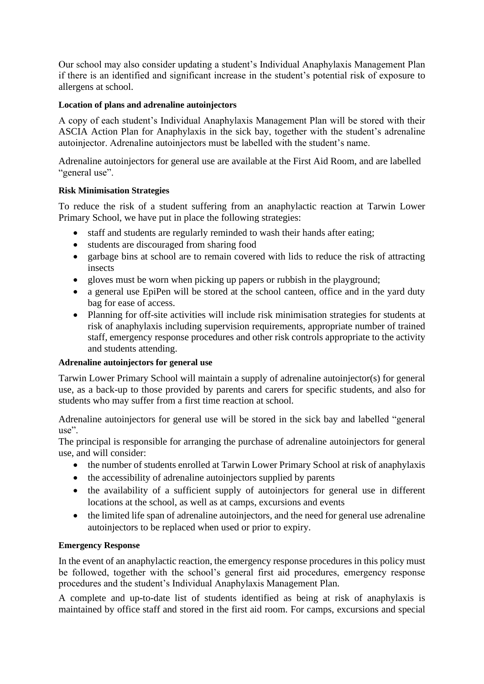Our school may also consider updating a student's Individual Anaphylaxis Management Plan if there is an identified and significant increase in the student's potential risk of exposure to allergens at school.

#### **Location of plans and adrenaline autoinjectors**

A copy of each student's Individual Anaphylaxis Management Plan will be stored with their ASCIA Action Plan for Anaphylaxis in the sick bay, together with the student's adrenaline autoinjector. Adrenaline autoinjectors must be labelled with the student's name.

Adrenaline autoinjectors for general use are available at the First Aid Room, and are labelled "general use".

#### **Risk Minimisation Strategies**

To reduce the risk of a student suffering from an anaphylactic reaction at Tarwin Lower Primary School, we have put in place the following strategies:

- staff and students are regularly reminded to wash their hands after eating;
- students are discouraged from sharing food
- garbage bins at school are to remain covered with lids to reduce the risk of attracting insects
- gloves must be worn when picking up papers or rubbish in the playground;
- a general use EpiPen will be stored at the school canteen, office and in the yard duty bag for ease of access.
- Planning for off-site activities will include risk minimisation strategies for students at risk of anaphylaxis including supervision requirements, appropriate number of trained staff, emergency response procedures and other risk controls appropriate to the activity and students attending.

#### **Adrenaline autoinjectors for general use**

Tarwin Lower Primary School will maintain a supply of adrenaline autoinjector(s) for general use, as a back-up to those provided by parents and carers for specific students, and also for students who may suffer from a first time reaction at school.

Adrenaline autoinjectors for general use will be stored in the sick bay and labelled "general use".

The principal is responsible for arranging the purchase of adrenaline autoinjectors for general use, and will consider:

- the number of students enrolled at Tarwin Lower Primary School at risk of anaphylaxis
- the accessibility of adrenaline autoinjectors supplied by parents
- the availability of a sufficient supply of autoinjectors for general use in different locations at the school, as well as at camps, excursions and events
- the limited life span of adrenaline autoinjectors, and the need for general use adrenaline autoinjectors to be replaced when used or prior to expiry.

#### **Emergency Response**

In the event of an anaphylactic reaction, the emergency response procedures in this policy must be followed, together with the school's general first aid procedures, emergency response procedures and the student's Individual Anaphylaxis Management Plan.

A complete and up-to-date list of students identified as being at risk of anaphylaxis is maintained by office staff and stored in the first aid room. For camps, excursions and special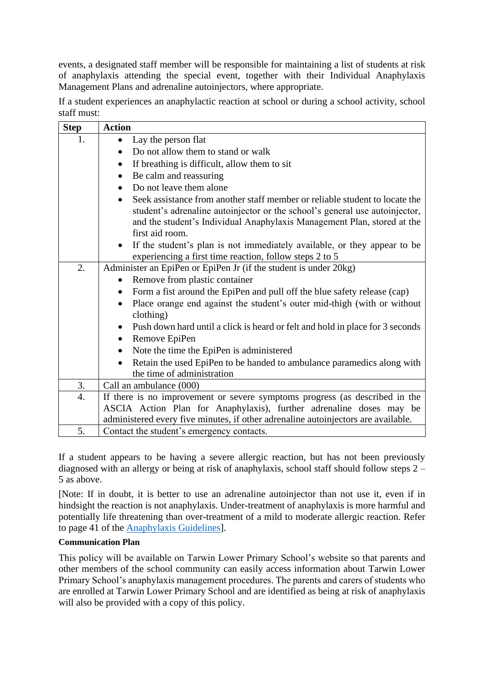events, a designated staff member will be responsible for maintaining a list of students at risk of anaphylaxis attending the special event, together with their Individual Anaphylaxis Management Plans and adrenaline autoinjectors, where appropriate.

If a student experiences an anaphylactic reaction at school or during a school activity, school staff must:

| <b>Step</b> | <b>Action</b>                                                                                                                                                                                                                                                         |
|-------------|-----------------------------------------------------------------------------------------------------------------------------------------------------------------------------------------------------------------------------------------------------------------------|
| 1.          | Lay the person flat<br>$\bullet$                                                                                                                                                                                                                                      |
|             | Do not allow them to stand or walk<br>$\bullet$                                                                                                                                                                                                                       |
|             | If breathing is difficult, allow them to sit<br>$\bullet$                                                                                                                                                                                                             |
|             | Be calm and reassuring<br>$\bullet$                                                                                                                                                                                                                                   |
|             | Do not leave them alone<br>$\bullet$                                                                                                                                                                                                                                  |
|             | Seek assistance from another staff member or reliable student to locate the<br>$\bullet$<br>student's adrenaline autoinjector or the school's general use autoinjector,<br>and the student's Individual Anaphylaxis Management Plan, stored at the<br>first aid room. |
|             |                                                                                                                                                                                                                                                                       |
|             | If the student's plan is not immediately available, or they appear to be<br>experiencing a first time reaction, follow steps 2 to 5                                                                                                                                   |
| 2.          | Administer an EpiPen or EpiPen Jr (if the student is under 20kg)                                                                                                                                                                                                      |
|             | Remove from plastic container<br>$\bullet$                                                                                                                                                                                                                            |
|             | Form a fist around the EpiPen and pull off the blue safety release (cap)<br>$\bullet$                                                                                                                                                                                 |
|             | Place orange end against the student's outer mid-thigh (with or without<br>$\bullet$<br>clothing)                                                                                                                                                                     |
|             | Push down hard until a click is heard or felt and hold in place for 3 seconds<br>$\bullet$                                                                                                                                                                            |
|             | Remove EpiPen<br>$\bullet$                                                                                                                                                                                                                                            |
|             | Note the time the EpiPen is administered<br>$\bullet$                                                                                                                                                                                                                 |
|             | Retain the used EpiPen to be handed to ambulance paramedics along with<br>$\bullet$                                                                                                                                                                                   |
|             | the time of administration                                                                                                                                                                                                                                            |
| 3.          | Call an ambulance (000)                                                                                                                                                                                                                                               |
| 4.          | If there is no improvement or severe symptoms progress (as described in the                                                                                                                                                                                           |
|             | ASCIA Action Plan for Anaphylaxis), further adrenaline doses may be                                                                                                                                                                                                   |
|             | administered every five minutes, if other adrenaline autoinjectors are available.                                                                                                                                                                                     |
| 5.          | Contact the student's emergency contacts.                                                                                                                                                                                                                             |

If a student appears to be having a severe allergic reaction, but has not been previously diagnosed with an allergy or being at risk of anaphylaxis, school staff should follow steps 2 – 5 as above.

[Note: If in doubt, it is better to use an adrenaline autoinjector than not use it, even if in hindsight the reaction is not anaphylaxis. Under-treatment of anaphylaxis is more harmful and potentially life threatening than over-treatment of a mild to moderate allergic reaction. Refer to page 41 of the [Anaphylaxis Guidelines\]](http://www.education.vic.gov.au/school/teachers/health/pages/anaphylaxisschl.aspx).

#### **Communication Plan**

This policy will be available on Tarwin Lower Primary School's website so that parents and other members of the school community can easily access information about Tarwin Lower Primary School's anaphylaxis management procedures. The parents and carers of students who are enrolled at Tarwin Lower Primary School and are identified as being at risk of anaphylaxis will also be provided with a copy of this policy.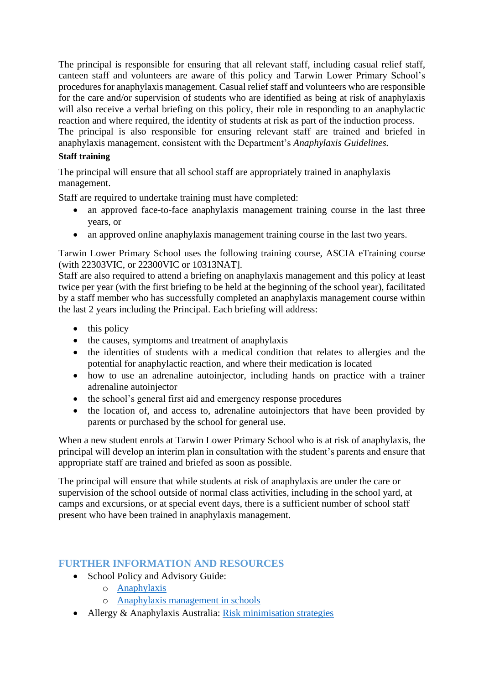The principal is responsible for ensuring that all relevant staff, including casual relief staff, canteen staff and volunteers are aware of this policy and Tarwin Lower Primary School's procedures for anaphylaxis management. Casual relief staff and volunteers who are responsible for the care and/or supervision of students who are identified as being at risk of anaphylaxis will also receive a verbal briefing on this policy, their role in responding to an anaphylactic reaction and where required, the identity of students at risk as part of the induction process. The principal is also responsible for ensuring relevant staff are trained and briefed in anaphylaxis management, consistent with the Department's *Anaphylaxis Guidelines.*

#### **Staff training**

The principal will ensure that all school staff are appropriately trained in anaphylaxis management.

Staff are required to undertake training must have completed:

- an approved face-to-face anaphylaxis management training course in the last three years, or
- an approved online anaphylaxis management training course in the last two years.

Tarwin Lower Primary School uses the following training course, ASCIA eTraining course (with 22303VIC, or 22300VIC or 10313NAT].

Staff are also required to attend a briefing on anaphylaxis management and this policy at least twice per year (with the first briefing to be held at the beginning of the school year), facilitated by a staff member who has successfully completed an anaphylaxis management course within the last 2 years including the Principal. Each briefing will address:

- this policy
- the causes, symptoms and treatment of anaphylaxis
- the identities of students with a medical condition that relates to allergies and the potential for anaphylactic reaction, and where their medication is located
- how to use an adrenaline autoinjector, including hands on practice with a trainer adrenaline autoinjector
- the school's general first aid and emergency response procedures
- the location of, and access to, adrenaline autoinjectors that have been provided by parents or purchased by the school for general use.

When a new student enrols at Tarwin Lower Primary School who is at risk of anaphylaxis, the principal will develop an interim plan in consultation with the student's parents and ensure that appropriate staff are trained and briefed as soon as possible.

The principal will ensure that while students at risk of anaphylaxis are under the care or supervision of the school outside of normal class activities, including in the school yard, at camps and excursions, or at special event days, there is a sufficient number of school staff present who have been trained in anaphylaxis management.

#### **FURTHER INFORMATION AND RESOURCES**

- School Policy and Advisory Guide:
	- o [Anaphylaxis](http://www.education.vic.gov.au/school/principals/spag/health/Pages/anaphylaxis.aspx)
	- o [Anaphylaxis management in schools](http://www.education.vic.gov.au/school/teachers/health/pages/anaphylaxisschl.aspx)
- Allergy & Anaphylaxis Australia: [Risk minimisation strategies](https://edugate.eduweb.vic.gov.au/edulibrary/Schools/teachers/health/riskminimisation.pdf)